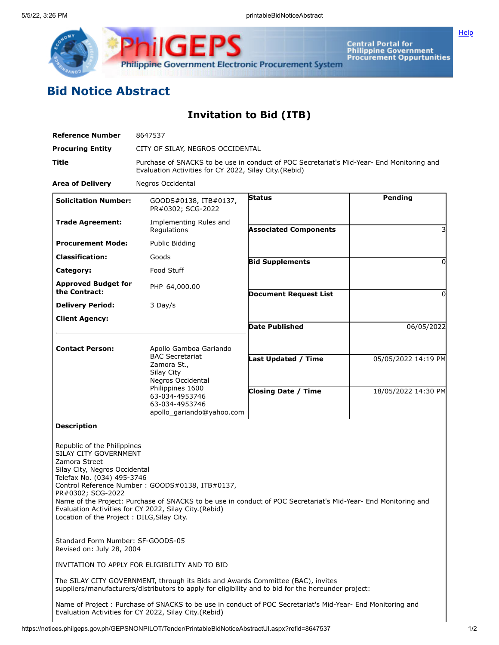

Central Portal for<br>Philippine Government<br>Procurement Oppurtunities

## **Bid Notice Abstract**

**Invitation to Bid (ITB)**

| <b>Reference Number</b>                                                                                                                                                                                 | 8647537                                                                                                                                                                                                                    |                                                          |                                            |  |  |  |
|---------------------------------------------------------------------------------------------------------------------------------------------------------------------------------------------------------|----------------------------------------------------------------------------------------------------------------------------------------------------------------------------------------------------------------------------|----------------------------------------------------------|--------------------------------------------|--|--|--|
| <b>Procuring Entity</b>                                                                                                                                                                                 | CITY OF SILAY, NEGROS OCCIDENTAL                                                                                                                                                                                           |                                                          |                                            |  |  |  |
| Title                                                                                                                                                                                                   | Purchase of SNACKS to be use in conduct of POC Secretariat's Mid-Year- End Monitoring and<br>Evaluation Activities for CY 2022, Silay City (Rebid)                                                                         |                                                          |                                            |  |  |  |
| <b>Area of Delivery</b>                                                                                                                                                                                 | Negros Occidental                                                                                                                                                                                                          |                                                          |                                            |  |  |  |
| <b>Solicitation Number:</b>                                                                                                                                                                             | GOODS#0138, ITB#0137,<br>PR#0302; SCG-2022                                                                                                                                                                                 | <b>Status</b>                                            | Pending                                    |  |  |  |
| <b>Trade Agreement:</b>                                                                                                                                                                                 | Implementing Rules and<br>Regulations                                                                                                                                                                                      | <b>Associated Components</b>                             |                                            |  |  |  |
| <b>Procurement Mode:</b>                                                                                                                                                                                | Public Bidding                                                                                                                                                                                                             |                                                          |                                            |  |  |  |
| <b>Classification:</b>                                                                                                                                                                                  | Goods                                                                                                                                                                                                                      | <b>Bid Supplements</b>                                   | 0                                          |  |  |  |
| Category:                                                                                                                                                                                               | Food Stuff                                                                                                                                                                                                                 |                                                          |                                            |  |  |  |
| <b>Approved Budget for</b><br>the Contract:                                                                                                                                                             | PHP 64,000.00                                                                                                                                                                                                              |                                                          |                                            |  |  |  |
|                                                                                                                                                                                                         |                                                                                                                                                                                                                            | <b>Document Request List</b>                             | 0                                          |  |  |  |
| <b>Delivery Period:</b>                                                                                                                                                                                 | 3 Day/s                                                                                                                                                                                                                    |                                                          |                                            |  |  |  |
| <b>Client Agency:</b>                                                                                                                                                                                   |                                                                                                                                                                                                                            | <b>Date Published</b>                                    | 06/05/2022                                 |  |  |  |
| <b>Contact Person:</b>                                                                                                                                                                                  | Apollo Gamboa Gariando<br><b>BAC Secretariat</b><br>Zamora St.,<br>Silay City<br>Negros Occidental<br>Philippines 1600                                                                                                     | <b>Last Updated / Time</b><br><b>Closing Date / Time</b> | 05/05/2022 14:19 PM<br>18/05/2022 14:30 PM |  |  |  |
|                                                                                                                                                                                                         | 63-034-4953746<br>63-034-4953746<br>apollo_gariando@yahoo.com                                                                                                                                                              |                                                          |                                            |  |  |  |
| <b>Description</b>                                                                                                                                                                                      |                                                                                                                                                                                                                            |                                                          |                                            |  |  |  |
| Republic of the Philippines<br>SILAY CITY GOVERNMENT<br>Zamora Street<br>Silay City, Negros Occidental<br>Telefax No. (034) 495-3746<br>PR#0302; SCG-2022<br>Location of the Project: DILG, Silay City. | Control Reference Number: GOODS#0138, ITB#0137,<br>Name of the Project: Purchase of SNACKS to be use in conduct of POC Secretariat's Mid-Year- End Monitoring and<br>Evaluation Activities for CY 2022, Silay City.(Rebid) |                                                          |                                            |  |  |  |
| Standard Form Number: SF-GOODS-05<br>Revised on: July 28, 2004                                                                                                                                          |                                                                                                                                                                                                                            |                                                          |                                            |  |  |  |
|                                                                                                                                                                                                         | INVITATION TO APPLY FOR ELIGIBILITY AND TO BID                                                                                                                                                                             |                                                          |                                            |  |  |  |
|                                                                                                                                                                                                         | The SILAY CITY GOVERNMENT, through its Bids and Awards Committee (BAC), invites<br>suppliers/manufacturers/distributors to apply for eligibility and to bid for the hereunder project:                                     |                                                          |                                            |  |  |  |
|                                                                                                                                                                                                         | Name of Project: Purchase of SNACKS to be use in conduct of POC Secretariat's Mid-Year- End Monitoring and                                                                                                                 |                                                          |                                            |  |  |  |

Evaluation Activities for CY 2022, Silay City.(Rebid)